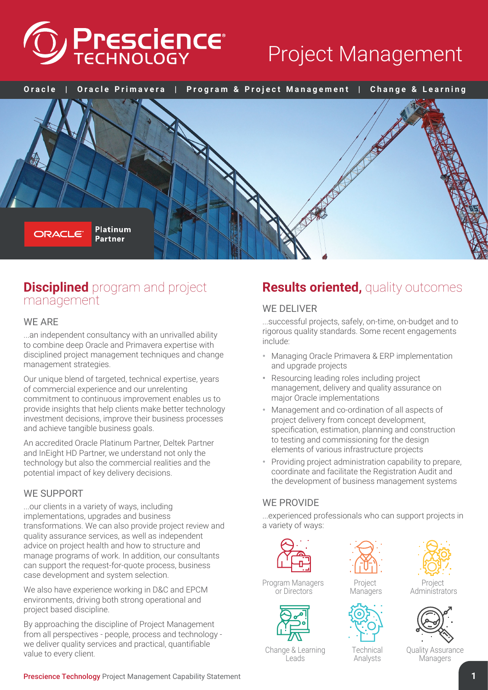

# Project Management



## **Disciplined** program and project management

#### WE ARE

...an independent consultancy with an unrivalled ability to combine deep Oracle and Primavera expertise with disciplined project management techniques and change management strategies.

Our unique blend of targeted, technical expertise, years of commercial experience and our unrelenting commitment to continuous improvement enables us to provide insights that help clients make better technology investment decisions, improve their business processes and achieve tangible business goals.

An accredited Oracle Platinum Partner, Deltek Partner and InEight HD Partner, we understand not only the technology but also the commercial realities and the potential impact of key delivery decisions.

#### WE SUPPORT

...our clients in a variety of ways, including implementations, upgrades and business transformations. We can also provide project review and quality assurance services, as well as independent advice on project health and how to structure and manage programs of work. In addition, our consultants can support the request-for-quote process, business case development and system selection.

We also have experience working in D&C and EPCM environments, driving both strong operational and project based discipline.

By approaching the discipline of Project Management from all perspectives - people, process and technology we deliver quality services and practical, quantifiable value to every client.

#### Prescience Technology Project Management Capability Statement **1**

## **Results oriented,** quality outcomes

#### WE DELIVER

...successful projects, safely, on-time, on-budget and to rigorous quality standards. Some recent engagements include:

- Managing Oracle Primavera & ERP implementation and upgrade projects
- Resourcing leading roles including project management, delivery and quality assurance on major Oracle implementations
- Management and co-ordination of all aspects of project delivery from concept development, specification, estimation, planning and construction to testing and commissioning for the design elements of various infrastructure projects
- Providing project administration capability to prepare, coordinate and facilitate the Registration Audit and the development of business management systems

#### WE PROVIDE

...experienced professionals who can support projects in a variety of ways:



Program Managers or Directors





Project Managers



**Administrators** 



**Technical** Analysts

Change & Learning Leads

Quality Assurance **Managers**